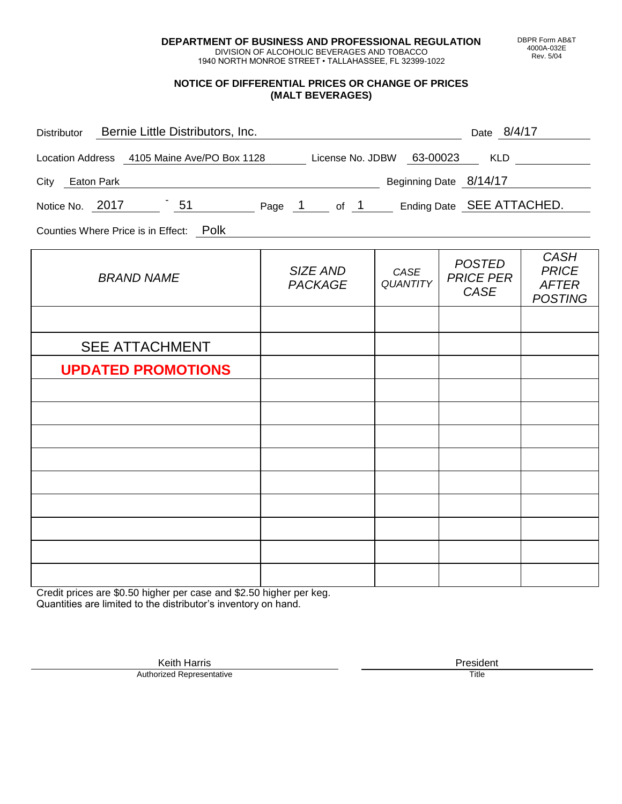**DEPARTMENT OF BUSINESS AND PROFESSIONAL REGULATION** DIVISION OF ALCOHOLIC BEVERAGES AND TOBACCO

1940 NORTH MONROE STREET • TALLAHASSEE, FL 32399-1022

### **NOTICE OF DIFFERENTIAL PRICES OR CHANGE OF PRICES (MALT BEVERAGES)**

| Distributor Bernie Little Distributors, Inc.                              |                            |                         | Date 8/4/17                               |                                                               |
|---------------------------------------------------------------------------|----------------------------|-------------------------|-------------------------------------------|---------------------------------------------------------------|
| Location Address 4105 Maine Ave/PO Box 1128 License No. JDBW 63-00023 KLD |                            |                         |                                           |                                                               |
| City Eaton Park                                                           |                            |                         | Beginning Date 8/14/17                    |                                                               |
| Notice No. 2017 151 Page 1 of 1 Ending Date SEE ATTACHED.                 |                            |                         |                                           |                                                               |
| Counties Where Price is in Effect: Polk                                   |                            |                         |                                           |                                                               |
| <b>BRAND NAME</b>                                                         | SIZE AND<br><b>PACKAGE</b> | CASE<br><b>QUANTITY</b> | <b>POSTED</b><br><b>PRICE PER</b><br>CASE | <b>CASH</b><br><b>PRICE</b><br><b>AFTER</b><br><b>POSTING</b> |
|                                                                           |                            |                         |                                           |                                                               |
| <b>SEE ATTACHMENT</b>                                                     |                            |                         |                                           |                                                               |
| <b>UPDATED PROMOTIONS</b>                                                 |                            |                         |                                           |                                                               |
|                                                                           |                            |                         |                                           |                                                               |
|                                                                           |                            |                         |                                           |                                                               |
|                                                                           |                            |                         |                                           |                                                               |
|                                                                           |                            |                         |                                           |                                                               |
|                                                                           |                            |                         |                                           |                                                               |
|                                                                           |                            |                         |                                           |                                                               |
|                                                                           |                            |                         |                                           |                                                               |
|                                                                           |                            |                         |                                           |                                                               |

Credit prices are \$0.50 higher per case and \$2.50 higher per keg. Quantities are limited to the distributor's inventory on hand.

> Keith Harris **President** President **President** President **President** President **President** Authorized Representative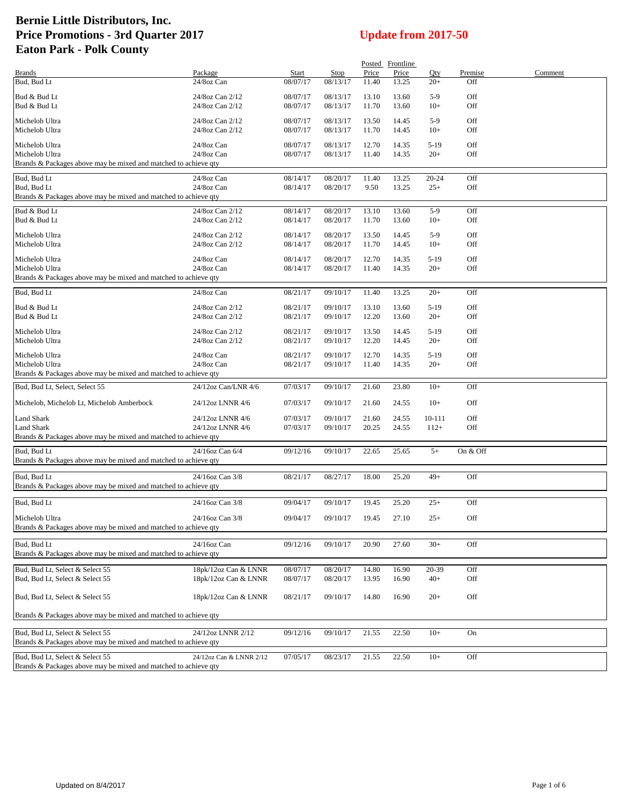|                                                                                                    |                                    |                      |          |                | Posted Frontline |                |            |         |
|----------------------------------------------------------------------------------------------------|------------------------------------|----------------------|----------|----------------|------------------|----------------|------------|---------|
| <b>Brands</b>                                                                                      | Package                            | Start                | Stop     | Price          | Price            | Qty            | Premise    | Comment |
| Bud, Bud Lt                                                                                        | 24/8oz Can                         | 08/07/17             | 08/13/17 | 11.40          | 13.25            | $20+$          | Off        |         |
| Bud & Bud Lt                                                                                       | 24/8oz Can 2/12                    | 08/07/17             | 08/13/17 | 13.10          | 13.60            | $5-9$          | Off        |         |
| Bud & Bud Lt                                                                                       | 24/8oz Can 2/12                    | 08/07/17             | 08/13/17 | 11.70          | 13.60            | $10+$          | Off        |         |
|                                                                                                    |                                    |                      | 08/13/17 |                |                  |                |            |         |
| Michelob Ultra<br>Michelob Ultra                                                                   | 24/8oz Can 2/12<br>24/8oz Can 2/12 | 08/07/17<br>08/07/17 | 08/13/17 | 13.50<br>11.70 | 14.45<br>14.45   | $5-9$<br>$10+$ | Off<br>Off |         |
|                                                                                                    |                                    |                      |          |                |                  |                |            |         |
| Michelob Ultra                                                                                     | 24/8oz Can                         | 08/07/17             | 08/13/17 | 12.70          | 14.35            | $5-19$         | Off        |         |
| Michelob Ultra                                                                                     | 24/8oz Can                         | 08/07/17             | 08/13/17 | 11.40          | 14.35            | $20+$          | Off        |         |
| Brands & Packages above may be mixed and matched to achieve qty                                    |                                    |                      |          |                |                  |                |            |         |
| Bud, Bud Lt                                                                                        | 24/8oz Can                         | 08/14/17             | 08/20/17 | 11.40          | 13.25            | 20-24          | Off        |         |
| Bud, Bud Lt                                                                                        | 24/8oz Can                         | 08/14/17             | 08/20/17 | 9.50           | 13.25            | $25+$          | Off        |         |
| Brands & Packages above may be mixed and matched to achieve qty                                    |                                    |                      |          |                |                  |                |            |         |
| Bud & Bud Lt                                                                                       | 24/8oz Can 2/12                    | 08/14/17             | 08/20/17 | 13.10          | 13.60            | $5-9$          | Off        |         |
| Bud & Bud Lt                                                                                       | 24/8oz Can 2/12                    | 08/14/17             | 08/20/17 | 11.70          | 13.60            | $10+$          | Off        |         |
|                                                                                                    |                                    |                      |          |                |                  |                |            |         |
| Michelob Ultra                                                                                     | 24/8oz Can 2/12                    | 08/14/17             | 08/20/17 | 13.50          | 14.45            | $5-9$          | Off        |         |
| Michelob Ultra                                                                                     | 24/8oz Can 2/12                    | 08/14/17             | 08/20/17 | 11.70          | 14.45            | $10+$          | Off        |         |
| Michelob Ultra                                                                                     | 24/8oz Can                         | 08/14/17             | 08/20/17 | 12.70          | 14.35            | $5-19$         | Off        |         |
| Michelob Ultra                                                                                     | 24/8oz Can                         | 08/14/17             | 08/20/17 | 11.40          | 14.35            | $20+$          | Off        |         |
| Brands & Packages above may be mixed and matched to achieve qty                                    |                                    |                      |          |                |                  |                |            |         |
| Bud, Bud Lt                                                                                        | 24/8oz Can                         | 08/21/17             | 09/10/17 | 11.40          | 13.25            | $20+$          | Off        |         |
|                                                                                                    |                                    |                      |          |                |                  |                |            |         |
| Bud & Bud Lt                                                                                       | 24/8oz Can 2/12                    | 08/21/17             | 09/10/17 | 13.10          | 13.60            | $5-19$         | Off        |         |
| Bud & Bud Lt                                                                                       | 24/8oz Can 2/12                    | 08/21/17             | 09/10/17 | 12.20          | 13.60            | $20+$          | Off        |         |
| Michelob Ultra                                                                                     | 24/8oz Can 2/12                    | 08/21/17             | 09/10/17 | 13.50          | 14.45            | $5-19$         | Off        |         |
| Michelob Ultra                                                                                     | 24/8oz Can 2/12                    | 08/21/17             | 09/10/17 | 12.20          | 14.45            | $20+$          | Off        |         |
| Michelob Ultra                                                                                     | 24/8oz Can                         | 08/21/17             | 09/10/17 | 12.70          |                  | $5-19$         | Off        |         |
| Michelob Ultra                                                                                     | 24/8oz Can                         | 08/21/17             | 09/10/17 | 11.40          | 14.35<br>14.35   | $20+$          | Off        |         |
| Brands & Packages above may be mixed and matched to achieve qty                                    |                                    |                      |          |                |                  |                |            |         |
| Bud, Bud Lt, Select, Select 55                                                                     |                                    | 07/03/17             |          | 21.60          | 23.80            | $10+$          | Off        |         |
|                                                                                                    | 24/12oz Can/LNR 4/6                |                      | 09/10/17 |                |                  |                |            |         |
| Michelob, Michelob Lt, Michelob Amberbock                                                          | 24/12oz LNNR 4/6                   | 07/03/17             | 09/10/17 | 21.60          | 24.55            | $10+$          | Off        |         |
| Land Shark                                                                                         | 24/12oz LNNR 4/6                   | 07/03/17             | 09/10/17 | 21.60          | 24.55            | 10-111         | Off        |         |
| Land Shark                                                                                         | 24/12oz LNNR 4/6                   | 07/03/17             | 09/10/17 | 20.25          | 24.55            | $112+$         | Off        |         |
| Brands & Packages above may be mixed and matched to achieve qty                                    |                                    |                      |          |                |                  |                |            |         |
| Bud, Bud Lt                                                                                        | 24/16oz Can 6/4                    | 09/12/16             | 09/10/17 | 22.65          | 25.65            | $5+$           | On & Off   |         |
| Brands & Packages above may be mixed and matched to achieve qty                                    |                                    |                      |          |                |                  |                |            |         |
|                                                                                                    |                                    |                      |          |                |                  |                |            |         |
| Bud, Bud Lt                                                                                        | 24/16oz Can 3/8                    | 08/21/17             | 08/27/17 | 18.00          | 25.20            | $49+$          | Off        |         |
| Brands & Packages above may be mixed and matched to achieve qty                                    |                                    |                      |          |                |                  |                |            |         |
| Bud. Bud Lt                                                                                        | 24/16oz Can 3/8                    | 09/04/17             | 09/10/17 | 19.45          | 25.20            | $25+$          | Off        |         |
|                                                                                                    |                                    |                      |          |                |                  |                |            |         |
| Michelob Ultra                                                                                     | 24/16oz Can 3/8                    | 09/04/17             | 09/10/17 | 19.45          | 27.10            | $25+$          | Off        |         |
| Brands & Packages above may be mixed and matched to achieve qty                                    |                                    |                      |          |                |                  |                |            |         |
| Bud, Bud Lt                                                                                        | 24/16oz Can                        | 09/12/16             | 09/10/17 | 20.90          | 27.60            | $30+$          | Off        |         |
| Brands & Packages above may be mixed and matched to achieve qty                                    |                                    |                      |          |                |                  |                |            |         |
|                                                                                                    |                                    |                      |          |                |                  |                |            |         |
| Bud, Bud Lt, Select & Select 55                                                                    | 18pk/12oz Can & LNNR               | 08/07/17             | 08/20/17 | 14.80          | 16.90            | 20-39          | Off        |         |
| Bud, Bud Lt, Select & Select 55                                                                    | 18pk/12oz Can & LNNR               | 08/07/17             | 08/20/17 | 13.95          | 16.90            | $40+$          | Off        |         |
| Bud, Bud Lt, Select & Select 55                                                                    | 18pk/12oz Can & LNNR               | 08/21/17             | 09/10/17 | 14.80          | 16.90            | $20+$          | Off        |         |
|                                                                                                    |                                    |                      |          |                |                  |                |            |         |
| Brands & Packages above may be mixed and matched to achieve qty                                    |                                    |                      |          |                |                  |                |            |         |
|                                                                                                    |                                    |                      |          |                |                  |                |            |         |
| Bud, Bud Lt, Select & Select 55<br>Brands & Packages above may be mixed and matched to achieve qty | 24/12oz LNNR 2/12                  | 09/12/16             | 09/10/17 | 21.55          | 22.50            | $10+$          | On         |         |
|                                                                                                    |                                    |                      |          |                |                  |                |            |         |
| Bud, Bud Lt, Select & Select 55                                                                    | 24/12oz Can & LNNR 2/12            | 07/05/17             | 08/23/17 | 21.55          | 22.50            | $10+$          | Off        |         |
| Brands & Packages above may be mixed and matched to achieve qty                                    |                                    |                      |          |                |                  |                |            |         |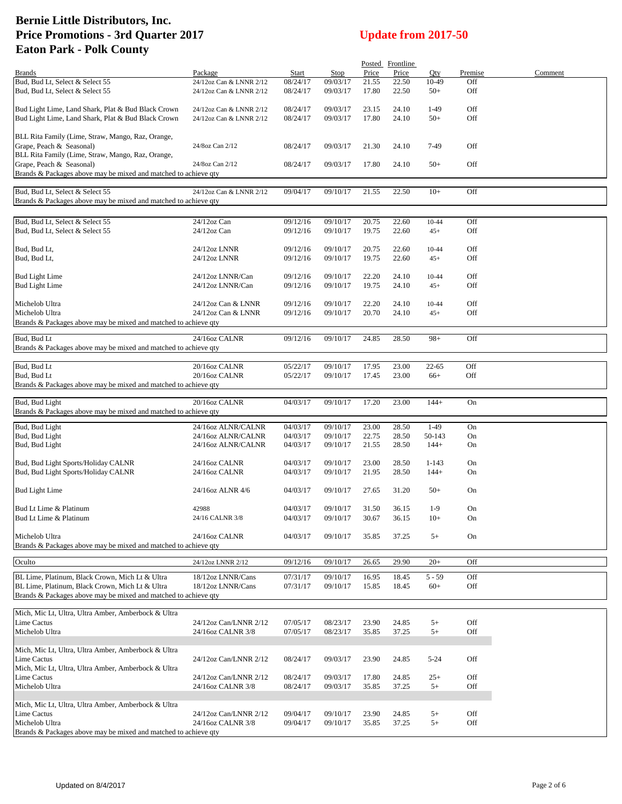|                                                                 |                         |          |          |       | Posted Frontline |           |         |         |
|-----------------------------------------------------------------|-------------------------|----------|----------|-------|------------------|-----------|---------|---------|
| <b>Brands</b>                                                   | Package                 | Start    | Stop     | Price | Price            | Oty       | Premise | Comment |
| Bud, Bud Lt, Select & Select 55                                 | 24/12oz Can & LNNR 2/12 | 08/24/17 | 09/03/17 | 21.55 | 22.50            | 10-49     | Off     |         |
| Bud, Bud Lt, Select & Select 55                                 | 24/12oz Can & LNNR 2/12 | 08/24/17 | 09/03/17 | 17.80 | 22.50            | $50+$     | Off     |         |
|                                                                 |                         |          |          |       |                  |           |         |         |
| Bud Light Lime, Land Shark, Plat & Bud Black Crown              | 24/12oz Can & LNNR 2/12 | 08/24/17 | 09/03/17 | 23.15 | 24.10            | $1-49$    | Off     |         |
| Bud Light Lime, Land Shark, Plat & Bud Black Crown              | 24/12oz Can & LNNR 2/12 | 08/24/17 | 09/03/17 | 17.80 | 24.10            | $50+$     | Off     |         |
|                                                                 |                         |          |          |       |                  |           |         |         |
| BLL Rita Family (Lime, Straw, Mango, Raz, Orange,               |                         |          |          |       |                  |           |         |         |
| Grape, Peach & Seasonal)                                        | 24/8oz Can 2/12         | 08/24/17 | 09/03/17 | 21.30 | 24.10            | 7-49      | Off     |         |
| BLL Rita Family (Lime, Straw, Mango, Raz, Orange,               |                         |          |          |       |                  |           |         |         |
| Grape, Peach & Seasonal)                                        | 24/8oz Can 2/12         | 08/24/17 | 09/03/17 | 17.80 | 24.10            | $50+$     | Off     |         |
|                                                                 |                         |          |          |       |                  |           |         |         |
| Brands & Packages above may be mixed and matched to achieve qty |                         |          |          |       |                  |           |         |         |
|                                                                 |                         |          |          |       |                  |           |         |         |
| Bud, Bud Lt, Select & Select 55                                 | 24/12oz Can & LNNR 2/12 | 09/04/17 | 09/10/17 | 21.55 | 22.50            | $10+$     | Off     |         |
| Brands & Packages above may be mixed and matched to achieve qty |                         |          |          |       |                  |           |         |         |
|                                                                 |                         |          |          |       |                  |           |         |         |
| Bud, Bud Lt, Select & Select 55                                 | 24/12oz Can             | 09/12/16 | 09/10/17 | 20.75 | 22.60            | $10 - 44$ | Off     |         |
| Bud, Bud Lt, Select & Select 55                                 | 24/12oz Can             | 09/12/16 | 09/10/17 | 19.75 | 22.60            | $45+$     | Off     |         |
|                                                                 |                         |          |          |       |                  |           |         |         |
| Bud, Bud Lt,                                                    | 24/12oz LNNR            | 09/12/16 | 09/10/17 | 20.75 | 22.60            | $10 - 44$ | Off     |         |
| Bud, Bud Lt,                                                    | 24/12oz LNNR            | 09/12/16 | 09/10/17 | 19.75 | 22.60            | $45+$     | Off     |         |
|                                                                 |                         |          |          |       |                  |           |         |         |
| <b>Bud Light Lime</b>                                           | 24/12oz LNNR/Can        | 09/12/16 | 09/10/17 | 22.20 | 24.10            | $10 - 44$ | Off     |         |
| <b>Bud Light Lime</b>                                           |                         |          |          |       |                  |           | Off     |         |
|                                                                 | 24/12oz LNNR/Can        | 09/12/16 | 09/10/17 | 19.75 | 24.10            | $45+$     |         |         |
|                                                                 |                         |          |          |       |                  |           |         |         |
| Michelob Ultra                                                  | 24/12oz Can & LNNR      | 09/12/16 | 09/10/17 | 22.20 | 24.10            | $10 - 44$ | Off     |         |
| Michelob Ultra                                                  | 24/12oz Can & LNNR      | 09/12/16 | 09/10/17 | 20.70 | 24.10            | $45+$     | Off     |         |
| Brands & Packages above may be mixed and matched to achieve qty |                         |          |          |       |                  |           |         |         |
|                                                                 |                         |          |          |       |                  |           |         |         |
| Bud, Bud Lt                                                     | 24/16oz CALNR           | 09/12/16 | 09/10/17 | 24.85 | 28.50            | $98+$     | Off     |         |
| Brands & Packages above may be mixed and matched to achieve qty |                         |          |          |       |                  |           |         |         |
|                                                                 |                         |          |          |       |                  |           |         |         |
| Bud, Bud Lt                                                     | 20/16oz CALNR           | 05/22/17 | 09/10/17 | 17.95 | 23.00            | 22-65     | Off     |         |
| Bud, Bud Lt                                                     | 20/16oz CALNR           | 05/22/17 | 09/10/17 | 17.45 | 23.00            | $66+$     | Off     |         |
| Brands & Packages above may be mixed and matched to achieve qty |                         |          |          |       |                  |           |         |         |
|                                                                 |                         |          |          |       |                  |           |         |         |
| Bud, Bud Light                                                  | 20/16oz CALNR           | 04/03/17 | 09/10/17 | 17.20 | 23.00            | $144+$    | On      |         |
| Brands & Packages above may be mixed and matched to achieve qty |                         |          |          |       |                  |           |         |         |
|                                                                 |                         |          |          |       |                  |           |         |         |
| Bud, Bud Light                                                  | 24/16oz ALNR/CALNR      | 04/03/17 | 09/10/17 | 23.00 | 28.50            | $1-49$    | On      |         |
| Bud, Bud Light                                                  | 24/16oz ALNR/CALNR      | 04/03/17 | 09/10/17 | 22.75 | 28.50            | 50-143    | On      |         |
| Bud, Bud Light                                                  | 24/16oz ALNR/CALNR      | 04/03/17 | 09/10/17 | 21.55 | 28.50            | $144+$    | On      |         |
|                                                                 |                         |          |          |       |                  |           |         |         |
| Bud, Bud Light Sports/Holiday CALNR                             | 24/16oz CALNR           | 04/03/17 | 09/10/17 | 23.00 | 28.50            | 1-143     | On      |         |
| Bud, Bud Light Sports/Holiday CALNR                             | 24/16oz CALNR           | 04/03/17 | 09/10/17 | 21.95 | 28.50            | $144+$    | On      |         |
|                                                                 |                         |          |          |       |                  |           |         |         |
| <b>Bud Light Lime</b>                                           | 24/16oz ALNR 4/6        | 04/03/17 | 09/10/17 | 27.65 | 31.20            | $50+$     | On      |         |
|                                                                 |                         |          |          |       |                  |           |         |         |
| Bud Lt Lime & Platinum                                          | 42988                   | 04/03/17 | 09/10/17 | 31.50 | 36.15            | $1-9$     | On      |         |
| Bud Lt Lime & Platinum                                          | 24/16 CALNR 3/8         | 04/03/17 | 09/10/17 | 30.67 | 36.15            | $10+$     | On      |         |
|                                                                 |                         |          |          |       |                  |           |         |         |
| Michelob Ultra                                                  |                         |          |          |       |                  |           |         |         |
|                                                                 | 24/16oz CALNR           | 04/03/17 | 09/10/17 | 35.85 | 37.25            | $5+$      | On      |         |
| Brands & Packages above may be mixed and matched to achieve qty |                         |          |          |       |                  |           |         |         |
| Oculto                                                          | 24/12oz LNNR 2/12       | 09/12/16 | 09/10/17 | 26.65 | 29.90            | $20+$     | Off     |         |
|                                                                 |                         |          |          |       |                  |           |         |         |
| BL Lime, Platinum, Black Crown, Mich Lt & Ultra                 | 18/12oz LNNR/Cans       | 07/31/17 | 09/10/17 | 16.95 | 18.45            | $5 - 59$  | Off     |         |
| BL Lime, Platinum, Black Crown, Mich Lt & Ultra                 | 18/12oz LNNR/Cans       | 07/31/17 | 09/10/17 | 15.85 | 18.45            | $60+$     | Off     |         |
| Brands & Packages above may be mixed and matched to achieve qty |                         |          |          |       |                  |           |         |         |
|                                                                 |                         |          |          |       |                  |           |         |         |
| Mich, Mic Lt, Ultra, Ultra Amber, Amberbock & Ultra             |                         |          |          |       |                  |           |         |         |
| Lime Cactus                                                     | 24/12oz Can/LNNR 2/12   | 07/05/17 | 08/23/17 | 23.90 | 24.85            | $5+$      | Off     |         |
|                                                                 |                         |          |          |       |                  |           |         |         |
| Michelob Ultra                                                  | 24/16oz CALNR 3/8       | 07/05/17 | 08/23/17 | 35.85 | 37.25            | $5+$      | Off     |         |
|                                                                 |                         |          |          |       |                  |           |         |         |
| Mich, Mic Lt, Ultra, Ultra Amber, Amberbock & Ultra             |                         |          |          |       |                  |           |         |         |
| Lime Cactus                                                     | 24/12oz Can/LNNR 2/12   | 08/24/17 | 09/03/17 | 23.90 | 24.85            | $5 - 24$  | Off     |         |
| Mich, Mic Lt, Ultra, Ultra Amber, Amberbock & Ultra             |                         |          |          |       |                  |           |         |         |
| Lime Cactus                                                     | 24/12oz Can/LNNR 2/12   | 08/24/17 | 09/03/17 | 17.80 | 24.85            | $25+$     | Off     |         |
| Michelob Ultra                                                  | 24/16oz CALNR 3/8       | 08/24/17 | 09/03/17 | 35.85 | 37.25            | $5+$      | Off     |         |
|                                                                 |                         |          |          |       |                  |           |         |         |
| Mich, Mic Lt, Ultra, Ultra Amber, Amberbock & Ultra             |                         |          |          |       |                  |           |         |         |
| Lime Cactus                                                     | 24/12oz Can/LNNR 2/12   | 09/04/17 | 09/10/17 | 23.90 | 24.85            | $5+$      | Off     |         |
| Michelob Ultra                                                  | 24/16oz CALNR 3/8       | 09/04/17 | 09/10/17 | 35.85 | 37.25            | $5+$      | Off     |         |
| Brands & Packages above may be mixed and matched to achieve qty |                         |          |          |       |                  |           |         |         |
|                                                                 |                         |          |          |       |                  |           |         |         |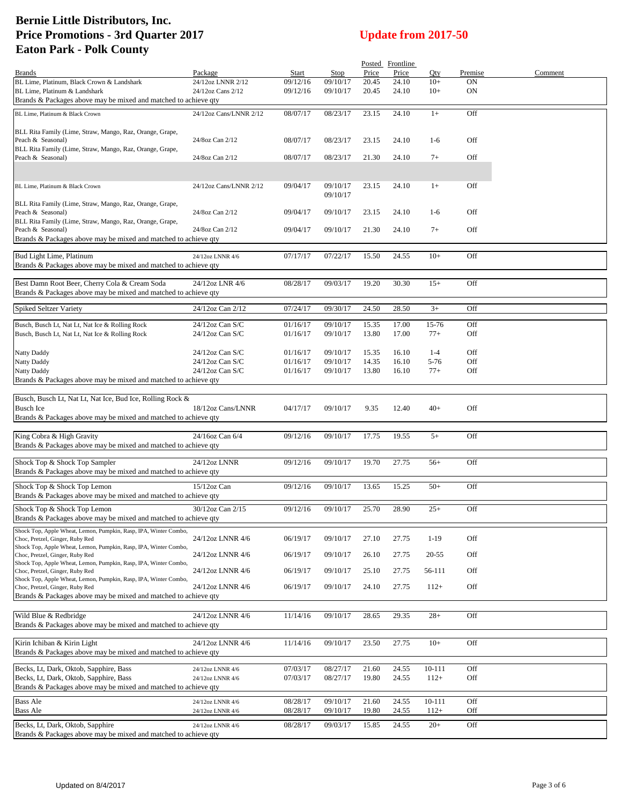|                                                                                                                                                                         |                                        |                      |                      |                | Posted Frontline |                |                 |         |
|-------------------------------------------------------------------------------------------------------------------------------------------------------------------------|----------------------------------------|----------------------|----------------------|----------------|------------------|----------------|-----------------|---------|
| <b>Brands</b>                                                                                                                                                           | Package                                | Start                | Stop                 | Price          | Price            | Oty            | Premise         | Comment |
| BL Lime, Platinum, Black Crown & Landshark<br>BL Lime, Platinum & Landshark<br>Brands & Packages above may be mixed and matched to achieve qty                          | 24/12oz LNNR 2/12<br>24/12oz Cans 2/12 | 09/12/16<br>09/12/16 | 09/10/17<br>09/10/17 | 20.45<br>20.45 | 24.10<br>24.10   | $10+$<br>$10+$ | <b>ON</b><br>ON |         |
| BL Lime, Platinum & Black Crown                                                                                                                                         | 24/12oz Cans/LNNR 2/12                 | 08/07/17             | 08/23/17             | 23.15          | 24.10            | $1+$           | Off             |         |
| BLL Rita Family (Lime, Straw, Mango, Raz, Orange, Grape,<br>Peach & Seasonal)                                                                                           | 24/8oz Can 2/12                        | 08/07/17             | 08/23/17             | 23.15          | 24.10            | $1-6$          | Off             |         |
| BLL Rita Family (Lime, Straw, Mango, Raz, Orange, Grape,<br>Peach & Seasonal)                                                                                           | 24/8oz Can 2/12                        | 08/07/17             | 08/23/17             | 21.30          | 24.10            | $7+$           | Off             |         |
|                                                                                                                                                                         |                                        |                      |                      |                |                  |                |                 |         |
| BL Lime, Platinum & Black Crown                                                                                                                                         | 24/12oz Cans/LNNR 2/12                 | 09/04/17             | 09/10/17<br>09/10/17 | 23.15          | 24.10            | $1+$           | Off             |         |
| BLL Rita Family (Lime, Straw, Mango, Raz, Orange, Grape,<br>Peach & Seasonal)                                                                                           | 24/8oz Can 2/12                        | 09/04/17             | 09/10/17             | 23.15          | 24.10            | $1-6$          | Off             |         |
| BLL Rita Family (Lime, Straw, Mango, Raz, Orange, Grape,<br>Peach & Seasonal)<br>Brands & Packages above may be mixed and matched to achieve qty                        | 24/8oz Can 2/12                        | 09/04/17             | 09/10/17             | 21.30          | 24.10            | $7+$           | Off             |         |
| Bud Light Lime, Platinum                                                                                                                                                | 24/12oz LNNR 4/6                       | 07/17/17             | 07/22/17             | 15.50          | 24.55            | $10+$          | Off             |         |
| Brands & Packages above may be mixed and matched to achieve qty                                                                                                         |                                        |                      |                      |                |                  |                |                 |         |
| Best Damn Root Beer, Cherry Cola & Cream Soda<br>Brands & Packages above may be mixed and matched to achieve qty                                                        | 24/12oz LNR 4/6                        | 08/28/17             | 09/03/17             | 19.20          | 30.30            | $15+$          | Off             |         |
| Spiked Seltzer Variety                                                                                                                                                  | 24/12oz Can 2/12                       | 07/24/17             | 09/30/17             | 24.50          | 28.50            | $3+$           | Off             |         |
|                                                                                                                                                                         |                                        |                      |                      |                |                  |                |                 |         |
| Busch, Busch Lt, Nat Lt, Nat Ice & Rolling Rock<br>Busch, Busch Lt, Nat Lt, Nat Ice & Rolling Rock                                                                      | 24/12oz Can S/C<br>24/12oz Can S/C     | 01/16/17<br>01/16/17 | 09/10/17<br>09/10/17 | 15.35<br>13.80 | 17.00<br>17.00   | 15-76<br>$77+$ | Off<br>Off      |         |
| <b>Natty Daddy</b>                                                                                                                                                      | 24/12oz Can S/C                        | 01/16/17             | 09/10/17             | 15.35          | 16.10            | $1 - 4$        | Off             |         |
| <b>Natty Daddy</b>                                                                                                                                                      | 24/12oz Can S/C                        | 01/16/17             | 09/10/17             | 14.35          | 16.10            | 5-76           | Off             |         |
| Natty Daddy<br>Brands & Packages above may be mixed and matched to achieve qty                                                                                          | 24/12oz Can S/C                        | 01/16/17             | 09/10/17             | 13.80          | 16.10            | $77+$          | Off             |         |
|                                                                                                                                                                         |                                        |                      |                      |                |                  |                |                 |         |
| Busch, Busch Lt, Nat Lt, Nat Ice, Bud Ice, Rolling Rock &                                                                                                               |                                        |                      |                      |                |                  |                |                 |         |
| <b>Busch Ice</b>                                                                                                                                                        | 18/12oz Cans/LNNR                      | 04/17/17             | 09/10/17             | 9.35           | 12.40            | $40+$          | Off             |         |
| Brands & Packages above may be mixed and matched to achieve qty                                                                                                         |                                        |                      |                      |                |                  |                |                 |         |
| King Cobra & High Gravity<br>Brands & Packages above may be mixed and matched to achieve qty                                                                            | 24/16oz Can 6/4                        | 09/12/16             | 09/10/17             | 17.75          | 19.55            | $5+$           | Off             |         |
| Shock Top & Shock Top Sampler<br>Brands & Packages above may be mixed and matched to achieve qty                                                                        | 24/12oz LNNR                           | 09/12/16             | 09/10/17             | 19.70          | 27.75            | $56+$          | Off             |         |
| Shock Top & Shock Top Lemon                                                                                                                                             | $15/12$ oz Can                         | 09/12/16             | 09/10/17             | 13.65          | 15.25            | $50+$          | Off             |         |
| Brands & Packages above may be mixed and matched to achieve qty                                                                                                         |                                        |                      |                      |                |                  |                |                 |         |
| Shock Top & Shock Top Lemon<br>Brands & Packages above may be mixed and matched to achieve qty                                                                          | 30/12oz Can 2/15                       | 09/12/16             | 09/10/17             | 25.70          | 28.90            | $25+$          | Off             |         |
| Shock Top, Apple Wheat, Lemon, Pumpkin, Rasp, IPA, Winter Combo,<br>Choc, Pretzel, Ginger, Ruby Red                                                                     | 24/12oz LNNR 4/6                       | 06/19/17             | 09/10/17             | 27.10          | 27.75            | $1-19$         | Off             |         |
| Shock Top, Apple Wheat, Lemon, Pumpkin, Rasp, IPA, Winter Combo,<br>Choc, Pretzel, Ginger, Ruby Red                                                                     | 24/12oz LNNR 4/6                       | 06/19/17             | 09/10/17             | 26.10          | 27.75            | 20-55          | Off             |         |
| Shock Top, Apple Wheat, Lemon, Pumpkin, Rasp, IPA, Winter Combo,<br>Choc, Pretzel, Ginger, Ruby Red<br>Shock Top, Apple Wheat, Lemon, Pumpkin, Rasp, IPA, Winter Combo, | 24/12oz LNNR 4/6                       | 06/19/17             | 09/10/17             | 25.10          | 27.75            | 56-111         | Off             |         |
| Choc, Pretzel, Ginger, Ruby Red<br>Brands & Packages above may be mixed and matched to achieve qty                                                                      | 24/12oz LNNR 4/6                       | 06/19/17             | 09/10/17             | 24.10          | 27.75            | $112+$         | Off             |         |
| Wild Blue & Redbridge                                                                                                                                                   | 24/12oz LNNR 4/6                       | 11/14/16             | 09/10/17             | 28.65          | 29.35            | $28+$          | Off             |         |
| Brands & Packages above may be mixed and matched to achieve qty                                                                                                         |                                        |                      |                      |                |                  |                |                 |         |
| Kirin Ichiban & Kirin Light<br>Brands & Packages above may be mixed and matched to achieve qty                                                                          | 24/12oz LNNR 4/6                       | 11/14/16             | 09/10/17             | 23.50          | 27.75            | $10+$          | Off             |         |
| Becks, Lt, Dark, Oktob, Sapphire, Bass                                                                                                                                  | 24/12oz LNNR 4/6                       | 07/03/17             | 08/27/17             | 21.60          | 24.55            | 10-111         | Off             |         |
| Becks, Lt, Dark, Oktob, Sapphire, Bass<br>Brands & Packages above may be mixed and matched to achieve qty                                                               | 24/12oz LNNR 4/6                       | 07/03/17             | 08/27/17             | 19.80          | 24.55            | $112+$         | Off             |         |
| <b>Bass Ale</b>                                                                                                                                                         | 24/12oz LNNR 4/6                       | 08/28/17             | 09/10/17             | 21.60          | 24.55            | 10-111         | Off             |         |
| <b>Bass Ale</b>                                                                                                                                                         | 24/12oz LNNR 4/6                       | 08/28/17             | 09/10/17             | 19.80          | 24.55            | $112+$         | Off             |         |
| Becks, Lt, Dark, Oktob, Sapphire<br>Brands & Packages above may be mixed and matched to achieve qty                                                                     | 24/12oz LNNR 4/6                       | 08/28/17             | 09/03/17             | 15.85          | 24.55            | $20+$          | Off             |         |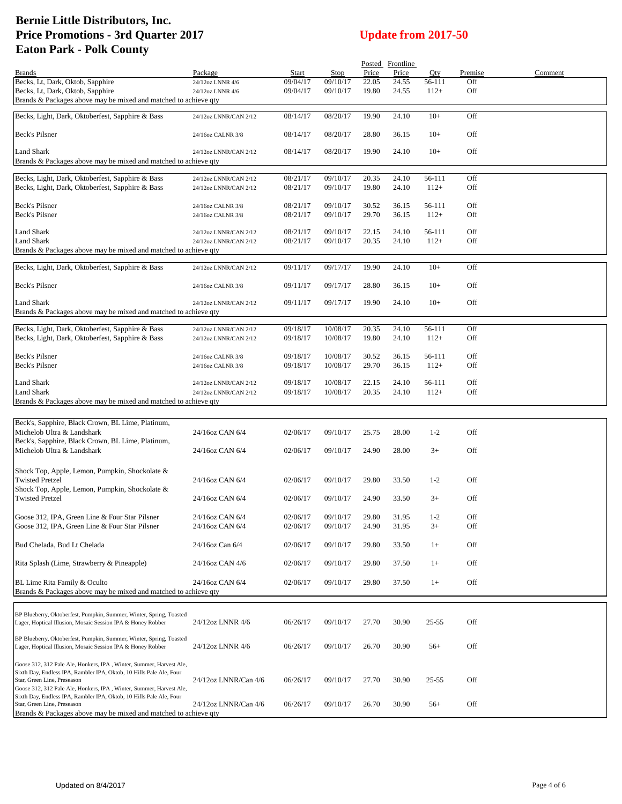| Price<br>Price<br>Qty<br>Premise<br>Comment<br>Package<br>Start<br>Stop<br>Brands<br>Becks, Lt, Dark, Oktob, Sapphire<br>22.05<br>24.55<br>Off<br>09/04/17<br>09/10/17<br>56-111<br>24/12oz LNNR 4/6<br>Becks, Lt, Dark, Oktob, Sapphire<br>09/04/17<br>09/10/17<br>19.80<br>24.55<br>$112+$<br>Off<br>24/12oz LNNR 4/6<br>Brands & Packages above may be mixed and matched to achieve qty<br>Becks, Light, Dark, Oktoberfest, Sapphire & Bass<br>08/14/17<br>19.90<br>24.10<br>$10+$<br>Off<br>08/20/17<br>24/12oz LNNR/CAN 2/12<br>Beck's Pilsner<br>08/14/17<br>28.80<br>$10+$<br>Off<br>24/16oz CALNR 3/8<br>08/20/17<br>36.15<br><b>Land Shark</b><br>08/14/17<br>08/20/17<br>19.90<br>24.10<br>$10+$<br>Off<br>24/12oz LNNR/CAN 2/12<br>Brands & Packages above may be mixed and matched to achieve qty<br>Becks, Light, Dark, Oktoberfest, Sapphire & Bass<br>08/21/17<br>09/10/17<br>20.35<br>24.10<br>56-111<br>Off<br>24/12oz LNNR/CAN 2/12<br>Becks, Light, Dark, Oktoberfest, Sapphire & Bass<br>08/21/17<br>09/10/17<br>19.80<br>24.10<br>$112+$<br>Off<br>24/12oz LNNR/CAN 2/12<br>Off<br>Beck's Pilsner<br>08/21/17<br>09/10/17<br>30.52<br>36.15<br>56-111<br>24/16oz CALNR 3/8<br>Beck's Pilsner<br>29.70<br>08/21/17<br>36.15<br>$112+$<br>Off<br>09/10/17<br>24/16oz CALNR 3/8<br>Off<br>Land Shark<br>08/21/17<br>09/10/17<br>22.15<br>24.10<br>24/12oz LNNR/CAN 2/12<br>56-111<br>08/21/17<br>20.35<br>24.10<br>$112+$<br>Off<br><b>Land Shark</b><br>09/10/17<br>24/12oz LNNR/CAN 2/12<br>Brands & Packages above may be mixed and matched to achieve qty<br>09/11/17<br>09/17/17<br>19.90<br>24.10<br>$10+$<br>Off<br>Becks, Light, Dark, Oktoberfest, Sapphire & Bass<br>24/12oz LNNR/CAN 2/12<br>Beck's Pilsner<br>09/11/17<br>09/17/17<br>28.80<br>36.15<br>$10+$<br>Off<br>24/16oz CALNR 3/8<br>Land Shark<br>09/11/17<br>09/17/17<br>19.90<br>24.10<br>$10+$<br>Off<br>24/12oz LNNR/CAN 2/12<br>Brands & Packages above may be mixed and matched to achieve qty<br>Becks, Light, Dark, Oktoberfest, Sapphire & Bass<br>09/18/17<br>10/08/17<br>20.35<br>24.10<br>56-111<br>Off<br>24/12oz LNNR/CAN 2/12<br>Becks, Light, Dark, Oktoberfest, Sapphire & Bass<br>24.10<br>Off<br>09/18/17<br>10/08/17<br>19.80<br>$112+$<br>24/12oz LNNR/CAN 2/12<br>Beck's Pilsner<br>Off<br>09/18/17<br>10/08/17<br>30.52<br>36.15<br>56-111<br>24/16oz CALNR 3/8<br>Beck's Pilsner<br>29.70<br>09/18/17<br>10/08/17<br>36.15<br>$112+$<br>Off<br>24/16oz CALNR 3/8<br>Land Shark<br>09/18/17<br>22.15<br>Off<br>24/12oz LNNR/CAN 2/12<br>10/08/17<br>24.10<br>56-111<br><b>Land Shark</b><br>10/08/17<br>20.35<br>24.10<br>$112+$<br>Off<br>24/12oz LNNR/CAN 2/12<br>09/18/17<br>Brands & Packages above may be mixed and matched to achieve qty<br>Beck's, Sapphire, Black Crown, BL Lime, Platinum,<br>Michelob Ultra & Landshark<br>24/16oz CAN 6/4<br>02/06/17<br>$1 - 2$<br>Off<br>09/10/17<br>25.75<br>28.00<br>Beck's, Sapphire, Black Crown, BL Lime, Platinum,<br>24.90<br>Michelob Ultra & Landshark<br>24/16oz CAN 6/4<br>02/06/17<br>09/10/17<br>28.00<br>$3+$<br>Off<br>Shock Top, Apple, Lemon, Pumpkin, Shockolate &<br><b>Twisted Pretzel</b><br>Off<br>24/16oz CAN 6/4<br>02/06/17<br>09/10/17<br>29.80<br>33.50<br>$1-2$<br>Shock Top, Apple, Lemon, Pumpkin, Shockolate &<br><b>Twisted Pretzel</b><br>24.90<br>$3+$<br>Off<br>24/16oz CAN 6/4<br>02/06/17<br>09/10/17<br>33.50<br>Goose 312, IPA, Green Line & Four Star Pilsner<br>24/16oz CAN 6/4<br>02/06/17<br>09/10/17<br>29.80<br>31.95<br>$1-2$<br>Off<br>Goose 312, IPA, Green Line & Four Star Pilsner<br>24/16oz CAN 6/4<br>02/06/17<br>09/10/17<br>24.90<br>31.95<br>$3+$<br>Off<br>Bud Chelada, Bud Lt Chelada<br>24/16oz Can 6/4<br>02/06/17<br>29.80<br>33.50<br>Off<br>09/10/17<br>$1+$<br>Rita Splash (Lime, Strawberry & Pineapple)<br>Off<br>24/16oz CAN 4/6<br>02/06/17<br>09/10/17<br>29.80<br>37.50<br>$1+$<br>BL Lime Rita Family & Oculto<br>24/16oz CAN 6/4<br>Off<br>02/06/17<br>09/10/17<br>29.80<br>37.50<br>$1+$<br>Brands & Packages above may be mixed and matched to achieve qty<br>BP Blueberry, Oktoberfest, Pumpkin, Summer, Winter, Spring, Toasted<br>24/12oz LNNR 4/6<br>06/26/17<br>27.70<br>30.90<br>$25 - 55$<br>Off<br>09/10/17<br>Lager, Hoptical Illusion, Mosaic Session IPA & Honey Robber<br>BP Blueberry, Oktoberfest, Pumpkin, Summer, Winter, Spring, Toasted<br>06/26/17<br>09/10/17<br>26.70<br>30.90<br>Off<br>Lager, Hoptical Illusion, Mosaic Session IPA & Honey Robber<br>24/12oz LNNR 4/6<br>$56+$<br>Goose 312, 312 Pale Ale, Honkers, IPA, Winter, Summer, Harvest Ale,<br>Sixth Day, Endless IPA, Rambler IPA, Oktob, 10 Hills Pale Ale, Four<br>Off<br>Star, Green Line, Preseason<br>24/12oz LNNR/Can 4/6<br>06/26/17<br>09/10/17<br>27.70<br>30.90<br>$25 - 55$<br>Goose 312, 312 Pale Ale, Honkers, IPA, Winter, Summer, Harvest Ale,<br>Sixth Day, Endless IPA, Rambler IPA, Oktob, 10 Hills Pale Ale, Four<br>24/12oz LNNR/Can 4/6<br>Off<br>06/26/17<br>09/10/17<br>26.70<br>30.90<br>$56+$<br>Star, Green Line, Preseason<br>Brands & Packages above may be mixed and matched to achieve qty |  |  | Posted Frontline |  |  |
|---------------------------------------------------------------------------------------------------------------------------------------------------------------------------------------------------------------------------------------------------------------------------------------------------------------------------------------------------------------------------------------------------------------------------------------------------------------------------------------------------------------------------------------------------------------------------------------------------------------------------------------------------------------------------------------------------------------------------------------------------------------------------------------------------------------------------------------------------------------------------------------------------------------------------------------------------------------------------------------------------------------------------------------------------------------------------------------------------------------------------------------------------------------------------------------------------------------------------------------------------------------------------------------------------------------------------------------------------------------------------------------------------------------------------------------------------------------------------------------------------------------------------------------------------------------------------------------------------------------------------------------------------------------------------------------------------------------------------------------------------------------------------------------------------------------------------------------------------------------------------------------------------------------------------------------------------------------------------------------------------------------------------------------------------------------------------------------------------------------------------------------------------------------------------------------------------------------------------------------------------------------------------------------------------------------------------------------------------------------------------------------------------------------------------------------------------------------------------------------------------------------------------------------------------------------------------------------------------------------------------------------------------------------------------------------------------------------------------------------------------------------------------------------------------------------------------------------------------------------------------------------------------------------------------------------------------------------------------------------------------------------------------------------------------------------------------------------------------------------------------------------------------------------------------------------------------------------------------------------------------------------------------------------------------------------------------------------------------------------------------------------------------------------------------------------------------------------------------------------------------------------------------------------------------------------------------------------------------------------------------------------------------------------------------------------------------------------------------------------------------------------------------------------------------------------------------------------------------------------------------------------------------------------------------------------------------------------------------------------------------------------------------------------------------------------------------------------------------------------------------------------------------------------------------------------------------------------------------------------------------------------------------------------------------------------------------------------------------------------------------------------------------------------------------------------------------------------------------------------------------------------------------------------------------------------------------------------------------------------------------------------------------------------------------------------------------------------------------------------------------------------------------------------------------------------------------------------------------------------------------------------------------------------------------------------------------------------------------------------------------------------------------------------------------------------------------------------------------------------------------------------------------|--|--|------------------|--|--|
|                                                                                                                                                                                                                                                                                                                                                                                                                                                                                                                                                                                                                                                                                                                                                                                                                                                                                                                                                                                                                                                                                                                                                                                                                                                                                                                                                                                                                                                                                                                                                                                                                                                                                                                                                                                                                                                                                                                                                                                                                                                                                                                                                                                                                                                                                                                                                                                                                                                                                                                                                                                                                                                                                                                                                                                                                                                                                                                                                                                                                                                                                                                                                                                                                                                                                                                                                                                                                                                                                                                                                                                                                                                                                                                                                                                                                                                                                                                                                                                                                                                                                                                                                                                                                                                                                                                                                                                                                                                                                                                                                                                                                                                                                                                                                                                                                                                                                                                                                                                                                                                                                                                                                   |  |  |                  |  |  |
|                                                                                                                                                                                                                                                                                                                                                                                                                                                                                                                                                                                                                                                                                                                                                                                                                                                                                                                                                                                                                                                                                                                                                                                                                                                                                                                                                                                                                                                                                                                                                                                                                                                                                                                                                                                                                                                                                                                                                                                                                                                                                                                                                                                                                                                                                                                                                                                                                                                                                                                                                                                                                                                                                                                                                                                                                                                                                                                                                                                                                                                                                                                                                                                                                                                                                                                                                                                                                                                                                                                                                                                                                                                                                                                                                                                                                                                                                                                                                                                                                                                                                                                                                                                                                                                                                                                                                                                                                                                                                                                                                                                                                                                                                                                                                                                                                                                                                                                                                                                                                                                                                                                                                   |  |  |                  |  |  |
|                                                                                                                                                                                                                                                                                                                                                                                                                                                                                                                                                                                                                                                                                                                                                                                                                                                                                                                                                                                                                                                                                                                                                                                                                                                                                                                                                                                                                                                                                                                                                                                                                                                                                                                                                                                                                                                                                                                                                                                                                                                                                                                                                                                                                                                                                                                                                                                                                                                                                                                                                                                                                                                                                                                                                                                                                                                                                                                                                                                                                                                                                                                                                                                                                                                                                                                                                                                                                                                                                                                                                                                                                                                                                                                                                                                                                                                                                                                                                                                                                                                                                                                                                                                                                                                                                                                                                                                                                                                                                                                                                                                                                                                                                                                                                                                                                                                                                                                                                                                                                                                                                                                                                   |  |  |                  |  |  |
|                                                                                                                                                                                                                                                                                                                                                                                                                                                                                                                                                                                                                                                                                                                                                                                                                                                                                                                                                                                                                                                                                                                                                                                                                                                                                                                                                                                                                                                                                                                                                                                                                                                                                                                                                                                                                                                                                                                                                                                                                                                                                                                                                                                                                                                                                                                                                                                                                                                                                                                                                                                                                                                                                                                                                                                                                                                                                                                                                                                                                                                                                                                                                                                                                                                                                                                                                                                                                                                                                                                                                                                                                                                                                                                                                                                                                                                                                                                                                                                                                                                                                                                                                                                                                                                                                                                                                                                                                                                                                                                                                                                                                                                                                                                                                                                                                                                                                                                                                                                                                                                                                                                                                   |  |  |                  |  |  |
|                                                                                                                                                                                                                                                                                                                                                                                                                                                                                                                                                                                                                                                                                                                                                                                                                                                                                                                                                                                                                                                                                                                                                                                                                                                                                                                                                                                                                                                                                                                                                                                                                                                                                                                                                                                                                                                                                                                                                                                                                                                                                                                                                                                                                                                                                                                                                                                                                                                                                                                                                                                                                                                                                                                                                                                                                                                                                                                                                                                                                                                                                                                                                                                                                                                                                                                                                                                                                                                                                                                                                                                                                                                                                                                                                                                                                                                                                                                                                                                                                                                                                                                                                                                                                                                                                                                                                                                                                                                                                                                                                                                                                                                                                                                                                                                                                                                                                                                                                                                                                                                                                                                                                   |  |  |                  |  |  |
|                                                                                                                                                                                                                                                                                                                                                                                                                                                                                                                                                                                                                                                                                                                                                                                                                                                                                                                                                                                                                                                                                                                                                                                                                                                                                                                                                                                                                                                                                                                                                                                                                                                                                                                                                                                                                                                                                                                                                                                                                                                                                                                                                                                                                                                                                                                                                                                                                                                                                                                                                                                                                                                                                                                                                                                                                                                                                                                                                                                                                                                                                                                                                                                                                                                                                                                                                                                                                                                                                                                                                                                                                                                                                                                                                                                                                                                                                                                                                                                                                                                                                                                                                                                                                                                                                                                                                                                                                                                                                                                                                                                                                                                                                                                                                                                                                                                                                                                                                                                                                                                                                                                                                   |  |  |                  |  |  |
|                                                                                                                                                                                                                                                                                                                                                                                                                                                                                                                                                                                                                                                                                                                                                                                                                                                                                                                                                                                                                                                                                                                                                                                                                                                                                                                                                                                                                                                                                                                                                                                                                                                                                                                                                                                                                                                                                                                                                                                                                                                                                                                                                                                                                                                                                                                                                                                                                                                                                                                                                                                                                                                                                                                                                                                                                                                                                                                                                                                                                                                                                                                                                                                                                                                                                                                                                                                                                                                                                                                                                                                                                                                                                                                                                                                                                                                                                                                                                                                                                                                                                                                                                                                                                                                                                                                                                                                                                                                                                                                                                                                                                                                                                                                                                                                                                                                                                                                                                                                                                                                                                                                                                   |  |  |                  |  |  |
|                                                                                                                                                                                                                                                                                                                                                                                                                                                                                                                                                                                                                                                                                                                                                                                                                                                                                                                                                                                                                                                                                                                                                                                                                                                                                                                                                                                                                                                                                                                                                                                                                                                                                                                                                                                                                                                                                                                                                                                                                                                                                                                                                                                                                                                                                                                                                                                                                                                                                                                                                                                                                                                                                                                                                                                                                                                                                                                                                                                                                                                                                                                                                                                                                                                                                                                                                                                                                                                                                                                                                                                                                                                                                                                                                                                                                                                                                                                                                                                                                                                                                                                                                                                                                                                                                                                                                                                                                                                                                                                                                                                                                                                                                                                                                                                                                                                                                                                                                                                                                                                                                                                                                   |  |  |                  |  |  |
|                                                                                                                                                                                                                                                                                                                                                                                                                                                                                                                                                                                                                                                                                                                                                                                                                                                                                                                                                                                                                                                                                                                                                                                                                                                                                                                                                                                                                                                                                                                                                                                                                                                                                                                                                                                                                                                                                                                                                                                                                                                                                                                                                                                                                                                                                                                                                                                                                                                                                                                                                                                                                                                                                                                                                                                                                                                                                                                                                                                                                                                                                                                                                                                                                                                                                                                                                                                                                                                                                                                                                                                                                                                                                                                                                                                                                                                                                                                                                                                                                                                                                                                                                                                                                                                                                                                                                                                                                                                                                                                                                                                                                                                                                                                                                                                                                                                                                                                                                                                                                                                                                                                                                   |  |  |                  |  |  |
|                                                                                                                                                                                                                                                                                                                                                                                                                                                                                                                                                                                                                                                                                                                                                                                                                                                                                                                                                                                                                                                                                                                                                                                                                                                                                                                                                                                                                                                                                                                                                                                                                                                                                                                                                                                                                                                                                                                                                                                                                                                                                                                                                                                                                                                                                                                                                                                                                                                                                                                                                                                                                                                                                                                                                                                                                                                                                                                                                                                                                                                                                                                                                                                                                                                                                                                                                                                                                                                                                                                                                                                                                                                                                                                                                                                                                                                                                                                                                                                                                                                                                                                                                                                                                                                                                                                                                                                                                                                                                                                                                                                                                                                                                                                                                                                                                                                                                                                                                                                                                                                                                                                                                   |  |  |                  |  |  |
|                                                                                                                                                                                                                                                                                                                                                                                                                                                                                                                                                                                                                                                                                                                                                                                                                                                                                                                                                                                                                                                                                                                                                                                                                                                                                                                                                                                                                                                                                                                                                                                                                                                                                                                                                                                                                                                                                                                                                                                                                                                                                                                                                                                                                                                                                                                                                                                                                                                                                                                                                                                                                                                                                                                                                                                                                                                                                                                                                                                                                                                                                                                                                                                                                                                                                                                                                                                                                                                                                                                                                                                                                                                                                                                                                                                                                                                                                                                                                                                                                                                                                                                                                                                                                                                                                                                                                                                                                                                                                                                                                                                                                                                                                                                                                                                                                                                                                                                                                                                                                                                                                                                                                   |  |  |                  |  |  |
|                                                                                                                                                                                                                                                                                                                                                                                                                                                                                                                                                                                                                                                                                                                                                                                                                                                                                                                                                                                                                                                                                                                                                                                                                                                                                                                                                                                                                                                                                                                                                                                                                                                                                                                                                                                                                                                                                                                                                                                                                                                                                                                                                                                                                                                                                                                                                                                                                                                                                                                                                                                                                                                                                                                                                                                                                                                                                                                                                                                                                                                                                                                                                                                                                                                                                                                                                                                                                                                                                                                                                                                                                                                                                                                                                                                                                                                                                                                                                                                                                                                                                                                                                                                                                                                                                                                                                                                                                                                                                                                                                                                                                                                                                                                                                                                                                                                                                                                                                                                                                                                                                                                                                   |  |  |                  |  |  |
|                                                                                                                                                                                                                                                                                                                                                                                                                                                                                                                                                                                                                                                                                                                                                                                                                                                                                                                                                                                                                                                                                                                                                                                                                                                                                                                                                                                                                                                                                                                                                                                                                                                                                                                                                                                                                                                                                                                                                                                                                                                                                                                                                                                                                                                                                                                                                                                                                                                                                                                                                                                                                                                                                                                                                                                                                                                                                                                                                                                                                                                                                                                                                                                                                                                                                                                                                                                                                                                                                                                                                                                                                                                                                                                                                                                                                                                                                                                                                                                                                                                                                                                                                                                                                                                                                                                                                                                                                                                                                                                                                                                                                                                                                                                                                                                                                                                                                                                                                                                                                                                                                                                                                   |  |  |                  |  |  |
|                                                                                                                                                                                                                                                                                                                                                                                                                                                                                                                                                                                                                                                                                                                                                                                                                                                                                                                                                                                                                                                                                                                                                                                                                                                                                                                                                                                                                                                                                                                                                                                                                                                                                                                                                                                                                                                                                                                                                                                                                                                                                                                                                                                                                                                                                                                                                                                                                                                                                                                                                                                                                                                                                                                                                                                                                                                                                                                                                                                                                                                                                                                                                                                                                                                                                                                                                                                                                                                                                                                                                                                                                                                                                                                                                                                                                                                                                                                                                                                                                                                                                                                                                                                                                                                                                                                                                                                                                                                                                                                                                                                                                                                                                                                                                                                                                                                                                                                                                                                                                                                                                                                                                   |  |  |                  |  |  |
|                                                                                                                                                                                                                                                                                                                                                                                                                                                                                                                                                                                                                                                                                                                                                                                                                                                                                                                                                                                                                                                                                                                                                                                                                                                                                                                                                                                                                                                                                                                                                                                                                                                                                                                                                                                                                                                                                                                                                                                                                                                                                                                                                                                                                                                                                                                                                                                                                                                                                                                                                                                                                                                                                                                                                                                                                                                                                                                                                                                                                                                                                                                                                                                                                                                                                                                                                                                                                                                                                                                                                                                                                                                                                                                                                                                                                                                                                                                                                                                                                                                                                                                                                                                                                                                                                                                                                                                                                                                                                                                                                                                                                                                                                                                                                                                                                                                                                                                                                                                                                                                                                                                                                   |  |  |                  |  |  |
|                                                                                                                                                                                                                                                                                                                                                                                                                                                                                                                                                                                                                                                                                                                                                                                                                                                                                                                                                                                                                                                                                                                                                                                                                                                                                                                                                                                                                                                                                                                                                                                                                                                                                                                                                                                                                                                                                                                                                                                                                                                                                                                                                                                                                                                                                                                                                                                                                                                                                                                                                                                                                                                                                                                                                                                                                                                                                                                                                                                                                                                                                                                                                                                                                                                                                                                                                                                                                                                                                                                                                                                                                                                                                                                                                                                                                                                                                                                                                                                                                                                                                                                                                                                                                                                                                                                                                                                                                                                                                                                                                                                                                                                                                                                                                                                                                                                                                                                                                                                                                                                                                                                                                   |  |  |                  |  |  |
|                                                                                                                                                                                                                                                                                                                                                                                                                                                                                                                                                                                                                                                                                                                                                                                                                                                                                                                                                                                                                                                                                                                                                                                                                                                                                                                                                                                                                                                                                                                                                                                                                                                                                                                                                                                                                                                                                                                                                                                                                                                                                                                                                                                                                                                                                                                                                                                                                                                                                                                                                                                                                                                                                                                                                                                                                                                                                                                                                                                                                                                                                                                                                                                                                                                                                                                                                                                                                                                                                                                                                                                                                                                                                                                                                                                                                                                                                                                                                                                                                                                                                                                                                                                                                                                                                                                                                                                                                                                                                                                                                                                                                                                                                                                                                                                                                                                                                                                                                                                                                                                                                                                                                   |  |  |                  |  |  |
|                                                                                                                                                                                                                                                                                                                                                                                                                                                                                                                                                                                                                                                                                                                                                                                                                                                                                                                                                                                                                                                                                                                                                                                                                                                                                                                                                                                                                                                                                                                                                                                                                                                                                                                                                                                                                                                                                                                                                                                                                                                                                                                                                                                                                                                                                                                                                                                                                                                                                                                                                                                                                                                                                                                                                                                                                                                                                                                                                                                                                                                                                                                                                                                                                                                                                                                                                                                                                                                                                                                                                                                                                                                                                                                                                                                                                                                                                                                                                                                                                                                                                                                                                                                                                                                                                                                                                                                                                                                                                                                                                                                                                                                                                                                                                                                                                                                                                                                                                                                                                                                                                                                                                   |  |  |                  |  |  |
|                                                                                                                                                                                                                                                                                                                                                                                                                                                                                                                                                                                                                                                                                                                                                                                                                                                                                                                                                                                                                                                                                                                                                                                                                                                                                                                                                                                                                                                                                                                                                                                                                                                                                                                                                                                                                                                                                                                                                                                                                                                                                                                                                                                                                                                                                                                                                                                                                                                                                                                                                                                                                                                                                                                                                                                                                                                                                                                                                                                                                                                                                                                                                                                                                                                                                                                                                                                                                                                                                                                                                                                                                                                                                                                                                                                                                                                                                                                                                                                                                                                                                                                                                                                                                                                                                                                                                                                                                                                                                                                                                                                                                                                                                                                                                                                                                                                                                                                                                                                                                                                                                                                                                   |  |  |                  |  |  |
|                                                                                                                                                                                                                                                                                                                                                                                                                                                                                                                                                                                                                                                                                                                                                                                                                                                                                                                                                                                                                                                                                                                                                                                                                                                                                                                                                                                                                                                                                                                                                                                                                                                                                                                                                                                                                                                                                                                                                                                                                                                                                                                                                                                                                                                                                                                                                                                                                                                                                                                                                                                                                                                                                                                                                                                                                                                                                                                                                                                                                                                                                                                                                                                                                                                                                                                                                                                                                                                                                                                                                                                                                                                                                                                                                                                                                                                                                                                                                                                                                                                                                                                                                                                                                                                                                                                                                                                                                                                                                                                                                                                                                                                                                                                                                                                                                                                                                                                                                                                                                                                                                                                                                   |  |  |                  |  |  |
|                                                                                                                                                                                                                                                                                                                                                                                                                                                                                                                                                                                                                                                                                                                                                                                                                                                                                                                                                                                                                                                                                                                                                                                                                                                                                                                                                                                                                                                                                                                                                                                                                                                                                                                                                                                                                                                                                                                                                                                                                                                                                                                                                                                                                                                                                                                                                                                                                                                                                                                                                                                                                                                                                                                                                                                                                                                                                                                                                                                                                                                                                                                                                                                                                                                                                                                                                                                                                                                                                                                                                                                                                                                                                                                                                                                                                                                                                                                                                                                                                                                                                                                                                                                                                                                                                                                                                                                                                                                                                                                                                                                                                                                                                                                                                                                                                                                                                                                                                                                                                                                                                                                                                   |  |  |                  |  |  |
|                                                                                                                                                                                                                                                                                                                                                                                                                                                                                                                                                                                                                                                                                                                                                                                                                                                                                                                                                                                                                                                                                                                                                                                                                                                                                                                                                                                                                                                                                                                                                                                                                                                                                                                                                                                                                                                                                                                                                                                                                                                                                                                                                                                                                                                                                                                                                                                                                                                                                                                                                                                                                                                                                                                                                                                                                                                                                                                                                                                                                                                                                                                                                                                                                                                                                                                                                                                                                                                                                                                                                                                                                                                                                                                                                                                                                                                                                                                                                                                                                                                                                                                                                                                                                                                                                                                                                                                                                                                                                                                                                                                                                                                                                                                                                                                                                                                                                                                                                                                                                                                                                                                                                   |  |  |                  |  |  |
|                                                                                                                                                                                                                                                                                                                                                                                                                                                                                                                                                                                                                                                                                                                                                                                                                                                                                                                                                                                                                                                                                                                                                                                                                                                                                                                                                                                                                                                                                                                                                                                                                                                                                                                                                                                                                                                                                                                                                                                                                                                                                                                                                                                                                                                                                                                                                                                                                                                                                                                                                                                                                                                                                                                                                                                                                                                                                                                                                                                                                                                                                                                                                                                                                                                                                                                                                                                                                                                                                                                                                                                                                                                                                                                                                                                                                                                                                                                                                                                                                                                                                                                                                                                                                                                                                                                                                                                                                                                                                                                                                                                                                                                                                                                                                                                                                                                                                                                                                                                                                                                                                                                                                   |  |  |                  |  |  |
|                                                                                                                                                                                                                                                                                                                                                                                                                                                                                                                                                                                                                                                                                                                                                                                                                                                                                                                                                                                                                                                                                                                                                                                                                                                                                                                                                                                                                                                                                                                                                                                                                                                                                                                                                                                                                                                                                                                                                                                                                                                                                                                                                                                                                                                                                                                                                                                                                                                                                                                                                                                                                                                                                                                                                                                                                                                                                                                                                                                                                                                                                                                                                                                                                                                                                                                                                                                                                                                                                                                                                                                                                                                                                                                                                                                                                                                                                                                                                                                                                                                                                                                                                                                                                                                                                                                                                                                                                                                                                                                                                                                                                                                                                                                                                                                                                                                                                                                                                                                                                                                                                                                                                   |  |  |                  |  |  |
|                                                                                                                                                                                                                                                                                                                                                                                                                                                                                                                                                                                                                                                                                                                                                                                                                                                                                                                                                                                                                                                                                                                                                                                                                                                                                                                                                                                                                                                                                                                                                                                                                                                                                                                                                                                                                                                                                                                                                                                                                                                                                                                                                                                                                                                                                                                                                                                                                                                                                                                                                                                                                                                                                                                                                                                                                                                                                                                                                                                                                                                                                                                                                                                                                                                                                                                                                                                                                                                                                                                                                                                                                                                                                                                                                                                                                                                                                                                                                                                                                                                                                                                                                                                                                                                                                                                                                                                                                                                                                                                                                                                                                                                                                                                                                                                                                                                                                                                                                                                                                                                                                                                                                   |  |  |                  |  |  |
|                                                                                                                                                                                                                                                                                                                                                                                                                                                                                                                                                                                                                                                                                                                                                                                                                                                                                                                                                                                                                                                                                                                                                                                                                                                                                                                                                                                                                                                                                                                                                                                                                                                                                                                                                                                                                                                                                                                                                                                                                                                                                                                                                                                                                                                                                                                                                                                                                                                                                                                                                                                                                                                                                                                                                                                                                                                                                                                                                                                                                                                                                                                                                                                                                                                                                                                                                                                                                                                                                                                                                                                                                                                                                                                                                                                                                                                                                                                                                                                                                                                                                                                                                                                                                                                                                                                                                                                                                                                                                                                                                                                                                                                                                                                                                                                                                                                                                                                                                                                                                                                                                                                                                   |  |  |                  |  |  |
|                                                                                                                                                                                                                                                                                                                                                                                                                                                                                                                                                                                                                                                                                                                                                                                                                                                                                                                                                                                                                                                                                                                                                                                                                                                                                                                                                                                                                                                                                                                                                                                                                                                                                                                                                                                                                                                                                                                                                                                                                                                                                                                                                                                                                                                                                                                                                                                                                                                                                                                                                                                                                                                                                                                                                                                                                                                                                                                                                                                                                                                                                                                                                                                                                                                                                                                                                                                                                                                                                                                                                                                                                                                                                                                                                                                                                                                                                                                                                                                                                                                                                                                                                                                                                                                                                                                                                                                                                                                                                                                                                                                                                                                                                                                                                                                                                                                                                                                                                                                                                                                                                                                                                   |  |  |                  |  |  |
|                                                                                                                                                                                                                                                                                                                                                                                                                                                                                                                                                                                                                                                                                                                                                                                                                                                                                                                                                                                                                                                                                                                                                                                                                                                                                                                                                                                                                                                                                                                                                                                                                                                                                                                                                                                                                                                                                                                                                                                                                                                                                                                                                                                                                                                                                                                                                                                                                                                                                                                                                                                                                                                                                                                                                                                                                                                                                                                                                                                                                                                                                                                                                                                                                                                                                                                                                                                                                                                                                                                                                                                                                                                                                                                                                                                                                                                                                                                                                                                                                                                                                                                                                                                                                                                                                                                                                                                                                                                                                                                                                                                                                                                                                                                                                                                                                                                                                                                                                                                                                                                                                                                                                   |  |  |                  |  |  |
|                                                                                                                                                                                                                                                                                                                                                                                                                                                                                                                                                                                                                                                                                                                                                                                                                                                                                                                                                                                                                                                                                                                                                                                                                                                                                                                                                                                                                                                                                                                                                                                                                                                                                                                                                                                                                                                                                                                                                                                                                                                                                                                                                                                                                                                                                                                                                                                                                                                                                                                                                                                                                                                                                                                                                                                                                                                                                                                                                                                                                                                                                                                                                                                                                                                                                                                                                                                                                                                                                                                                                                                                                                                                                                                                                                                                                                                                                                                                                                                                                                                                                                                                                                                                                                                                                                                                                                                                                                                                                                                                                                                                                                                                                                                                                                                                                                                                                                                                                                                                                                                                                                                                                   |  |  |                  |  |  |
|                                                                                                                                                                                                                                                                                                                                                                                                                                                                                                                                                                                                                                                                                                                                                                                                                                                                                                                                                                                                                                                                                                                                                                                                                                                                                                                                                                                                                                                                                                                                                                                                                                                                                                                                                                                                                                                                                                                                                                                                                                                                                                                                                                                                                                                                                                                                                                                                                                                                                                                                                                                                                                                                                                                                                                                                                                                                                                                                                                                                                                                                                                                                                                                                                                                                                                                                                                                                                                                                                                                                                                                                                                                                                                                                                                                                                                                                                                                                                                                                                                                                                                                                                                                                                                                                                                                                                                                                                                                                                                                                                                                                                                                                                                                                                                                                                                                                                                                                                                                                                                                                                                                                                   |  |  |                  |  |  |
|                                                                                                                                                                                                                                                                                                                                                                                                                                                                                                                                                                                                                                                                                                                                                                                                                                                                                                                                                                                                                                                                                                                                                                                                                                                                                                                                                                                                                                                                                                                                                                                                                                                                                                                                                                                                                                                                                                                                                                                                                                                                                                                                                                                                                                                                                                                                                                                                                                                                                                                                                                                                                                                                                                                                                                                                                                                                                                                                                                                                                                                                                                                                                                                                                                                                                                                                                                                                                                                                                                                                                                                                                                                                                                                                                                                                                                                                                                                                                                                                                                                                                                                                                                                                                                                                                                                                                                                                                                                                                                                                                                                                                                                                                                                                                                                                                                                                                                                                                                                                                                                                                                                                                   |  |  |                  |  |  |
|                                                                                                                                                                                                                                                                                                                                                                                                                                                                                                                                                                                                                                                                                                                                                                                                                                                                                                                                                                                                                                                                                                                                                                                                                                                                                                                                                                                                                                                                                                                                                                                                                                                                                                                                                                                                                                                                                                                                                                                                                                                                                                                                                                                                                                                                                                                                                                                                                                                                                                                                                                                                                                                                                                                                                                                                                                                                                                                                                                                                                                                                                                                                                                                                                                                                                                                                                                                                                                                                                                                                                                                                                                                                                                                                                                                                                                                                                                                                                                                                                                                                                                                                                                                                                                                                                                                                                                                                                                                                                                                                                                                                                                                                                                                                                                                                                                                                                                                                                                                                                                                                                                                                                   |  |  |                  |  |  |
|                                                                                                                                                                                                                                                                                                                                                                                                                                                                                                                                                                                                                                                                                                                                                                                                                                                                                                                                                                                                                                                                                                                                                                                                                                                                                                                                                                                                                                                                                                                                                                                                                                                                                                                                                                                                                                                                                                                                                                                                                                                                                                                                                                                                                                                                                                                                                                                                                                                                                                                                                                                                                                                                                                                                                                                                                                                                                                                                                                                                                                                                                                                                                                                                                                                                                                                                                                                                                                                                                                                                                                                                                                                                                                                                                                                                                                                                                                                                                                                                                                                                                                                                                                                                                                                                                                                                                                                                                                                                                                                                                                                                                                                                                                                                                                                                                                                                                                                                                                                                                                                                                                                                                   |  |  |                  |  |  |
|                                                                                                                                                                                                                                                                                                                                                                                                                                                                                                                                                                                                                                                                                                                                                                                                                                                                                                                                                                                                                                                                                                                                                                                                                                                                                                                                                                                                                                                                                                                                                                                                                                                                                                                                                                                                                                                                                                                                                                                                                                                                                                                                                                                                                                                                                                                                                                                                                                                                                                                                                                                                                                                                                                                                                                                                                                                                                                                                                                                                                                                                                                                                                                                                                                                                                                                                                                                                                                                                                                                                                                                                                                                                                                                                                                                                                                                                                                                                                                                                                                                                                                                                                                                                                                                                                                                                                                                                                                                                                                                                                                                                                                                                                                                                                                                                                                                                                                                                                                                                                                                                                                                                                   |  |  |                  |  |  |
|                                                                                                                                                                                                                                                                                                                                                                                                                                                                                                                                                                                                                                                                                                                                                                                                                                                                                                                                                                                                                                                                                                                                                                                                                                                                                                                                                                                                                                                                                                                                                                                                                                                                                                                                                                                                                                                                                                                                                                                                                                                                                                                                                                                                                                                                                                                                                                                                                                                                                                                                                                                                                                                                                                                                                                                                                                                                                                                                                                                                                                                                                                                                                                                                                                                                                                                                                                                                                                                                                                                                                                                                                                                                                                                                                                                                                                                                                                                                                                                                                                                                                                                                                                                                                                                                                                                                                                                                                                                                                                                                                                                                                                                                                                                                                                                                                                                                                                                                                                                                                                                                                                                                                   |  |  |                  |  |  |
|                                                                                                                                                                                                                                                                                                                                                                                                                                                                                                                                                                                                                                                                                                                                                                                                                                                                                                                                                                                                                                                                                                                                                                                                                                                                                                                                                                                                                                                                                                                                                                                                                                                                                                                                                                                                                                                                                                                                                                                                                                                                                                                                                                                                                                                                                                                                                                                                                                                                                                                                                                                                                                                                                                                                                                                                                                                                                                                                                                                                                                                                                                                                                                                                                                                                                                                                                                                                                                                                                                                                                                                                                                                                                                                                                                                                                                                                                                                                                                                                                                                                                                                                                                                                                                                                                                                                                                                                                                                                                                                                                                                                                                                                                                                                                                                                                                                                                                                                                                                                                                                                                                                                                   |  |  |                  |  |  |
|                                                                                                                                                                                                                                                                                                                                                                                                                                                                                                                                                                                                                                                                                                                                                                                                                                                                                                                                                                                                                                                                                                                                                                                                                                                                                                                                                                                                                                                                                                                                                                                                                                                                                                                                                                                                                                                                                                                                                                                                                                                                                                                                                                                                                                                                                                                                                                                                                                                                                                                                                                                                                                                                                                                                                                                                                                                                                                                                                                                                                                                                                                                                                                                                                                                                                                                                                                                                                                                                                                                                                                                                                                                                                                                                                                                                                                                                                                                                                                                                                                                                                                                                                                                                                                                                                                                                                                                                                                                                                                                                                                                                                                                                                                                                                                                                                                                                                                                                                                                                                                                                                                                                                   |  |  |                  |  |  |
|                                                                                                                                                                                                                                                                                                                                                                                                                                                                                                                                                                                                                                                                                                                                                                                                                                                                                                                                                                                                                                                                                                                                                                                                                                                                                                                                                                                                                                                                                                                                                                                                                                                                                                                                                                                                                                                                                                                                                                                                                                                                                                                                                                                                                                                                                                                                                                                                                                                                                                                                                                                                                                                                                                                                                                                                                                                                                                                                                                                                                                                                                                                                                                                                                                                                                                                                                                                                                                                                                                                                                                                                                                                                                                                                                                                                                                                                                                                                                                                                                                                                                                                                                                                                                                                                                                                                                                                                                                                                                                                                                                                                                                                                                                                                                                                                                                                                                                                                                                                                                                                                                                                                                   |  |  |                  |  |  |
|                                                                                                                                                                                                                                                                                                                                                                                                                                                                                                                                                                                                                                                                                                                                                                                                                                                                                                                                                                                                                                                                                                                                                                                                                                                                                                                                                                                                                                                                                                                                                                                                                                                                                                                                                                                                                                                                                                                                                                                                                                                                                                                                                                                                                                                                                                                                                                                                                                                                                                                                                                                                                                                                                                                                                                                                                                                                                                                                                                                                                                                                                                                                                                                                                                                                                                                                                                                                                                                                                                                                                                                                                                                                                                                                                                                                                                                                                                                                                                                                                                                                                                                                                                                                                                                                                                                                                                                                                                                                                                                                                                                                                                                                                                                                                                                                                                                                                                                                                                                                                                                                                                                                                   |  |  |                  |  |  |
|                                                                                                                                                                                                                                                                                                                                                                                                                                                                                                                                                                                                                                                                                                                                                                                                                                                                                                                                                                                                                                                                                                                                                                                                                                                                                                                                                                                                                                                                                                                                                                                                                                                                                                                                                                                                                                                                                                                                                                                                                                                                                                                                                                                                                                                                                                                                                                                                                                                                                                                                                                                                                                                                                                                                                                                                                                                                                                                                                                                                                                                                                                                                                                                                                                                                                                                                                                                                                                                                                                                                                                                                                                                                                                                                                                                                                                                                                                                                                                                                                                                                                                                                                                                                                                                                                                                                                                                                                                                                                                                                                                                                                                                                                                                                                                                                                                                                                                                                                                                                                                                                                                                                                   |  |  |                  |  |  |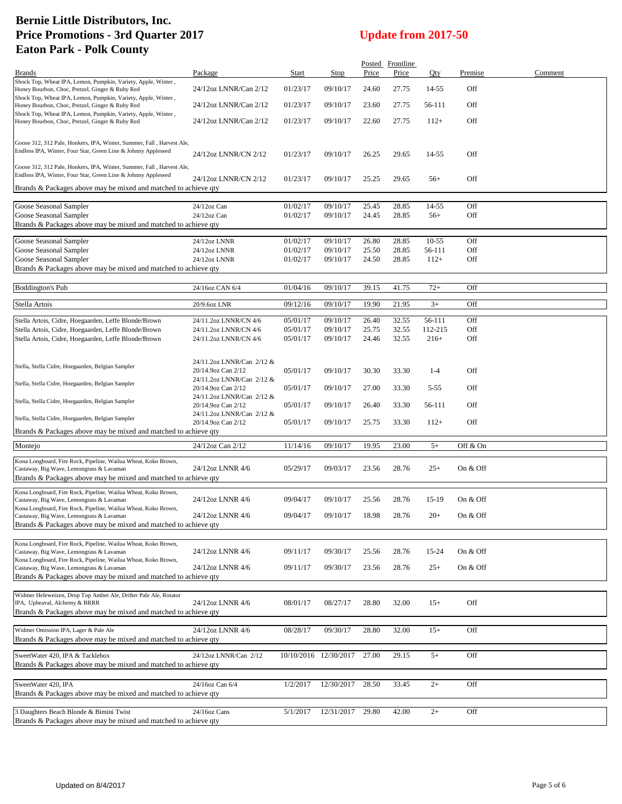|                                                                                                                                        |                                                 |                      |                       |                | Posted Frontline |                  |            |         |
|----------------------------------------------------------------------------------------------------------------------------------------|-------------------------------------------------|----------------------|-----------------------|----------------|------------------|------------------|------------|---------|
| <b>Brands</b>                                                                                                                          | Package                                         | Start                | Stop                  | Price          | Price            | Qty              | Premise    | Comment |
| Shock Top, Wheat IPA, Lemon, Pumpkin, Variety, Apple, Winter,<br>Honey Bourbon, Choc, Pretzel, Ginger & Ruby Red                       | 24/12oz LNNR/Can 2/12                           | 01/23/17             | 09/10/17              | 24.60          | 27.75            | 14-55            | Off        |         |
| Shock Top, Wheat IPA, Lemon, Pumpkin, Variety, Apple, Winter,<br>Honey Bourbon, Choc, Pretzel, Ginger & Ruby Red                       | 24/12oz LNNR/Can 2/12                           | 01/23/17             | 09/10/17              | 23.60          | 27.75            | 56-111           | Off        |         |
| Shock Top, Wheat IPA, Lemon, Pumpkin, Variety, Apple, Winter,<br>Honey Bourbon, Choc, Pretzel, Ginger & Ruby Red                       | 24/12oz LNNR/Can 2/12                           | 01/23/17             | 09/10/17              | 22.60          | 27.75            | $112+$           | Off        |         |
| Goose 312, 312 Pale, Honkers, IPA, Winter, Summer, Fall, Harvest Ale,<br>Endless IPA, Winter, Four Star, Green Line & Johnny Appleseed | 24/12oz LNNR/CN 2/12                            | 01/23/17             | 09/10/17              | 26.25          | 29.65            | 14-55            | Off        |         |
| Goose 312, 312 Pale, Honkers, IPA, Winter, Summer, Fall, Harvest Ale,<br>Endless IPA, Winter, Four Star, Green Line & Johnny Appleseed | 24/12oz LNNR/CN 2/12                            | 01/23/17             | 09/10/17              | 25.25          | 29.65            | $56+$            | Off        |         |
| Brands & Packages above may be mixed and matched to achieve qty                                                                        |                                                 |                      |                       |                |                  |                  |            |         |
| Goose Seasonal Sampler                                                                                                                 | 24/12oz Can                                     | 01/02/17             | 09/10/17              | 25.45          | 28.85            | 14-55            | Off        |         |
| Goose Seasonal Sampler                                                                                                                 | 24/12oz Can                                     | 01/02/17             | 09/10/17              | 24.45          | 28.85            | $56+$            | Off        |         |
| Brands & Packages above may be mixed and matched to achieve qty                                                                        |                                                 |                      |                       |                |                  |                  |            |         |
|                                                                                                                                        |                                                 |                      |                       |                |                  |                  |            |         |
| Goose Seasonal Sampler                                                                                                                 | 24/12oz LNNR                                    | 01/02/17             | 09/10/17              | 26.80          | 28.85            | $10-55$          | Off<br>Off |         |
| Goose Seasonal Sampler<br>Goose Seasonal Sampler                                                                                       | 24/12oz LNNR<br>24/12oz LNNR                    | 01/02/17<br>01/02/17 | 09/10/17<br>09/10/17  | 25.50<br>24.50 | 28.85<br>28.85   | 56-111<br>$112+$ | Off        |         |
| Brands & Packages above may be mixed and matched to achieve qty                                                                        |                                                 |                      |                       |                |                  |                  |            |         |
|                                                                                                                                        |                                                 |                      |                       |                |                  |                  |            |         |
| <b>Boddington's Pub</b>                                                                                                                | 24/16oz CAN 6/4                                 | 01/04/16             | 09/10/17              | 39.15          | 41.75            | $72+$            | Off        |         |
| Stella Artois                                                                                                                          | 20/9.6oz LNR                                    | 09/12/16             | 09/10/17              | 19.90          | 21.95            | $3+$             | Off        |         |
|                                                                                                                                        |                                                 |                      |                       |                |                  |                  |            |         |
| Stella Artois, Cidre, Hoegaarden, Leffe Blonde/Brown                                                                                   | 24/11.2oz LNNR/CN 4/6                           | 05/01/17             | 09/10/17              | 26.40          | 32.55            | 56-111           | Off        |         |
| Stella Artois, Cidre, Hoegaarden, Leffe Blonde/Brown                                                                                   | 24/11.2oz LNNR/CN 4/6                           | 05/01/17             | 09/10/17              | 25.75          | 32.55            | 112-215          | Off        |         |
| Stella Artois, Cidre, Hoegaarden, Leffe Blonde/Brown                                                                                   | 24/11.2oz LNNR/CN 4/6                           | 05/01/17             | 09/10/17              | 24.46          | 32.55            | $216+$           | Off        |         |
|                                                                                                                                        |                                                 |                      |                       |                |                  |                  |            |         |
| Stella, Stella Cidre, Hoegaarden, Belgian Sampler                                                                                      | 24/11.2oz LNNR/Can 2/12 &                       |                      |                       |                |                  |                  |            |         |
|                                                                                                                                        | 20/14.9oz Can 2/12                              | 05/01/17             | 09/10/17              | 30.30          | 33.30            | $1 - 4$          | Off        |         |
| Stella, Stella Cidre, Hoegaarden, Belgian Sampler                                                                                      | 24/11.2oz LNNR/Can 2/12 &<br>20/14.9oz Can 2/12 | 05/01/17             | 09/10/17              | 27.00          | 33.30            | $5 - 55$         | Off        |         |
|                                                                                                                                        | 24/11.2oz LNNR/Can 2/12 &                       |                      |                       |                |                  |                  |            |         |
| Stella, Stella Cidre, Hoegaarden, Belgian Sampler                                                                                      | 20/14.9oz Can 2/12<br>24/11.2oz LNNR/Can 2/12 & | 05/01/17             | 09/10/17              | 26.40          | 33.30            | 56-111           | Off        |         |
| Stella, Stella Cidre, Hoegaarden, Belgian Sampler                                                                                      | 20/14.9oz Can 2/12                              | 05/01/17             | 09/10/17              | 25.75          | 33.30            | $112+$           | Off        |         |
| Brands & Packages above may be mixed and matched to achieve qty                                                                        |                                                 |                      |                       |                |                  |                  |            |         |
| Montejo                                                                                                                                | 24/12oz Can 2/12                                | 11/14/16             | 09/10/17              | 19.95          | 23.00            | $5+$             | Off & On   |         |
| Kona Longboard, Fire Rock, Pipeline, Wailua Wheat, Koko Brown,                                                                         |                                                 |                      |                       |                |                  |                  |            |         |
| Castaway, Big Wave, Lemongrass & Lavaman                                                                                               | 24/12oz LNNR 4/6                                | 05/29/17             | 09/03/17              | 23.56          | 28.76            | $25+$            | On & Off   |         |
| Brands & Packages above may be mixed and matched to achieve qty                                                                        |                                                 |                      |                       |                |                  |                  |            |         |
| Kona Longboard, Fire Rock, Pipeline, Wailua Wheat, Koko Brown,                                                                         |                                                 |                      |                       |                |                  |                  |            |         |
| Castaway, Big Wave, Lemongrass & Lavaman<br>Kona Longboard, Fire Rock, Pipeline, Wailua Wheat, Koko Brown,                             | 24/12oz LNNR 4/6                                | 09/04/17             | 09/10/17              | 25.56          | 28.76            | 15-19            | On & Off   |         |
| Castaway, Big Wave, Lemongrass & Lavaman                                                                                               | 24/12oz LNNR 4/6                                | 09/04/17             | 09/10/17              | 18.98          | 28.76            | $20+$            | On & Off   |         |
| Brands & Packages above may be mixed and matched to achieve qty                                                                        |                                                 |                      |                       |                |                  |                  |            |         |
|                                                                                                                                        |                                                 |                      |                       |                |                  |                  |            |         |
| Kona Longboard, Fire Rock, Pipeline, Wailua Wheat, Koko Brown,<br>Castaway, Big Wave, Lemongrass & Lavaman                             | 24/12oz LNNR 4/6                                | 09/11/17             | 09/30/17              | 25.56          | 28.76            | 15-24            | On & Off   |         |
| Kona Longboard, Fire Rock, Pipeline, Wailua Wheat, Koko Brown,                                                                         |                                                 |                      |                       |                |                  |                  |            |         |
| Castaway, Big Wave, Lemongrass & Lavaman                                                                                               | 24/12oz LNNR 4/6                                | 09/11/17             | 09/30/17              | 23.56          | 28.76            | $25+$            | On & Off   |         |
| Brands & Packages above may be mixed and matched to achieve qty                                                                        |                                                 |                      |                       |                |                  |                  |            |         |
| Widmer Hefeweizen, Drop Top Amber Ale, Drifter Pale Ale, Rotator                                                                       |                                                 |                      |                       |                |                  |                  |            |         |
| IPA, Upheaval, Alchemy & BRRR                                                                                                          | 24/12oz LNNR 4/6                                | 08/01/17             | 08/27/17              | 28.80          | 32.00            | $15+$            | Off        |         |
| Brands & Packages above may be mixed and matched to achieve qty                                                                        |                                                 |                      |                       |                |                  |                  |            |         |
|                                                                                                                                        |                                                 |                      |                       |                |                  |                  |            |         |
| Widmer Omission IPA, Lager & Pale Ale<br>Brands & Packages above may be mixed and matched to achieve qty                               | 24/12oz LNNR 4/6                                | 08/28/17             | 09/30/17              | 28.80          | 32.00            | $15+$            | Off        |         |
| SweetWater 420, IPA & Tacklebox                                                                                                        | 24/12oz LNNR/Can 2/12                           |                      | 10/10/2016 12/30/2017 | 27.00          | 29.15            | $5+$             | Off        |         |
| Brands & Packages above may be mixed and matched to achieve qty                                                                        |                                                 |                      |                       |                |                  |                  |            |         |
|                                                                                                                                        |                                                 |                      |                       |                |                  |                  |            |         |
| SweetWater 420, IPA                                                                                                                    | 24/16oz Can 6/4                                 | 1/2/2017             | 12/30/2017            | 28.50          | 33.45            | $2+$             | Off        |         |
| Brands & Packages above may be mixed and matched to achieve qty                                                                        |                                                 |                      |                       |                |                  |                  |            |         |
|                                                                                                                                        |                                                 |                      |                       |                |                  |                  |            |         |
| 3 Daughters Beach Blonde & Bimini Twist<br>Brands & Packages above may be mixed and matched to achieve qty                             | 24/16oz Cans                                    | 5/1/2017             | 12/31/2017            | 29.80          | 42.00            | $2+$             | Off        |         |
|                                                                                                                                        |                                                 |                      |                       |                |                  |                  |            |         |